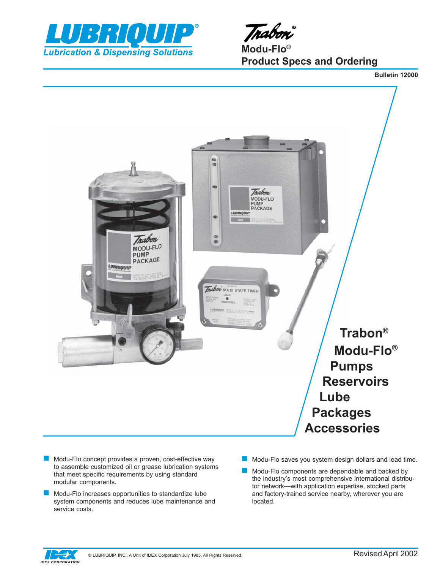



**Modu-Flo® Product Specs and Ordering**

**Bulletin 12000**



- Modu-FIo concept provides a proven, cost-effective way to assemble customized oil or grease lubrication systems that meet specific requirements by using standard modular components.
- Modu-Flo increases opportunities to standardize lube system components and reduces lube maintenance and service costs.
- Modu-Flo saves you system design dollars and lead time.
- Modu-Flo components are dependable and backed by the industry's most comprehensive international distributor network—with application expertise, stocked parts and factory-trained service nearby, wherever you are located.

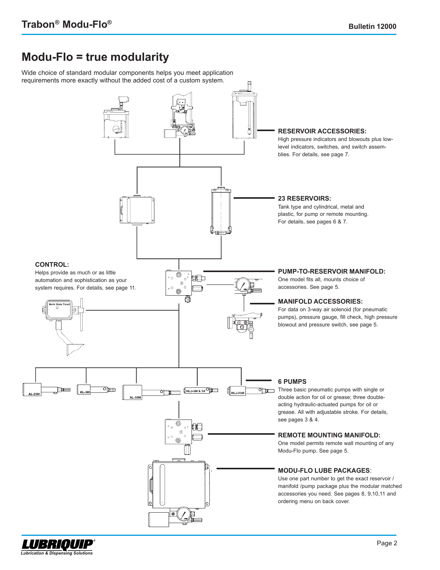## **Modu-FIo = true modularity**

Wide choice of standard modular components helps you meet application requirements more exactly without the added cost of a custom system.



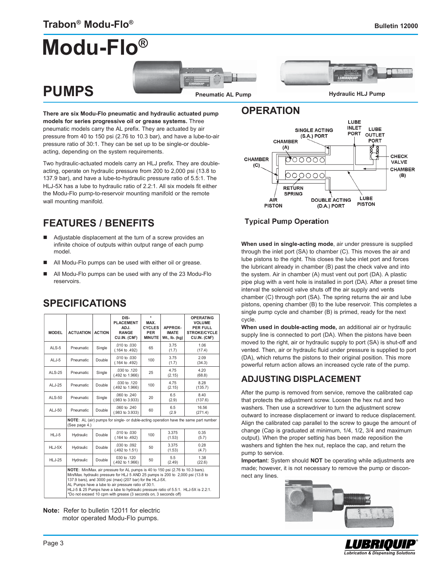## **Modu-Flo®**





**There are six Modu-FIo pneumatic and hydraulic actuated pump models for series progressive oil or grease systems.** Three pneumatic models carry the AL prefix. They are actuated by air pressure from 40 to 150 psi (2.76 to 10.3 bar), and have a lube-to-air pressure ratio of 30:1. They can be set up to be single-or doubleacting, depending on the system requirements.

Two hydraulic-actuated models carry an HLJ prefix. They are doubleacting, operate on hydraulic pressure from 200 to 2,000 psi (13.8 to 137.9 bar), and have a lube-to-hydraulic pressure ratio of 5.5:1. The HLJ-5X has a lube to hydraulic ratio of 2.2:1. All six models fit either the Modu-Flo pump-to-reservoir mounting manifold or the remote wall mounting manifold.

## **FEATURES / BENEFITS**

- Adjustable displacement at the turn of a screw provides an infinite choice of outputs within output range of each pump model.
- All Modu-Flo pumps can be used with either oil or grease.
- All Modu-Flo pumps can be used with any of the 23 Modu-Flo reservoirs.

| <b>MODEL</b>  | <b>ACTUATION</b>                                                                                                                                                                                                                                                                                                                                                                                                                                | <b>ACTION</b> | DIS-<br><b>PLACEMENT</b><br>ADJ.<br><b>RANGE</b><br>CU.IN. (CM <sup>3</sup> ) | $\star$<br>MAX.<br><b>CYCLES</b><br><b>PER</b><br><b>MINUTE</b> | APPROX-<br><b>IMATE</b><br>Wt., lb. (kg) | <b>OPERATING</b><br><b>VOLUME</b><br><b>PER FULL</b><br><b>STROKE/CYCLE</b><br>CU.IN. (CM <sup>3</sup> ) |
|---------------|-------------------------------------------------------------------------------------------------------------------------------------------------------------------------------------------------------------------------------------------------------------------------------------------------------------------------------------------------------------------------------------------------------------------------------------------------|---------------|-------------------------------------------------------------------------------|-----------------------------------------------------------------|------------------------------------------|----------------------------------------------------------------------------------------------------------|
| ALS-5         | Pneumatic                                                                                                                                                                                                                                                                                                                                                                                                                                       | Single        | .010 to .030<br>$(.164 \text{ to } .492)$                                     | 65                                                              | 3.75<br>(1.7)                            | 1.06<br>(17.4)                                                                                           |
| $ALJ-5$       | Pneumatic                                                                                                                                                                                                                                                                                                                                                                                                                                       | Double        | $.010$ to $.030$<br>$(.164 \text{ to } .492)$                                 | 100                                                             | 3.75<br>(1.7)                            | 2.09<br>(34.3)                                                                                           |
| <b>ALS-25</b> | Pneumatic                                                                                                                                                                                                                                                                                                                                                                                                                                       | Single        | .030 to .120<br>$(.492 \text{ to } 1.966)$                                    | 25                                                              | 4.75<br>(2.15)                           | 4.20<br>(68.8)                                                                                           |
| ALJ-25        | Pneumatic                                                                                                                                                                                                                                                                                                                                                                                                                                       | Double        | .030 to .120<br>(.492 to 1.966)                                               | 100                                                             | 4.75<br>(2.15)                           | 8.28<br>(135.7)                                                                                          |
| <b>ALS-50</b> | Pneumatic                                                                                                                                                                                                                                                                                                                                                                                                                                       | Single        | $.060$ to $.240$<br>$(.983$ to $3.933)$                                       | 20                                                              | 6.5<br>(2.9)                             | 8.40<br>(137.6)                                                                                          |
| ALJ-50        | Pneumatic                                                                                                                                                                                                                                                                                                                                                                                                                                       | Double        | .060 to .240<br>$(.983$ to $3.933)$                                           | 60                                                              | 6.5<br>(2.9)                             | 16.56<br>(271.4)                                                                                         |
|               | (See page 4.)                                                                                                                                                                                                                                                                                                                                                                                                                                   |               |                                                                               |                                                                 |                                          | NOTE: AL (air) pumps for single- or duble-acting operation have the same part number                     |
| HLJ-5         | Hydraulic                                                                                                                                                                                                                                                                                                                                                                                                                                       | Double        | .010 to .030<br>(.164 to .492)                                                | 100                                                             | 3.375<br>(1.53)                          | 0.35<br>(5.7)                                                                                            |
| HLJ-5X        | Hydraulic                                                                                                                                                                                                                                                                                                                                                                                                                                       | Double        | .030 to .092<br>(.492 to 1.51)                                                | 50                                                              | 3.375<br>(1.53)                          | 0.28<br>(4.7)                                                                                            |
| <b>HLJ-25</b> | Hydraulic                                                                                                                                                                                                                                                                                                                                                                                                                                       | Double        | 030 to .120<br>(.492 to 1.966)                                                | 50                                                              | 5.5<br>(2.49)                            | 1.38<br>(22.6)                                                                                           |
|               | NOTE: Min/Max. air pressure for AL pumps is 40 to 150 psi (2.76 to 10.3 bars).<br>Min/Max. hydraulic pressure for HLJ 5 AND 25 pumps is 200 to 2,000 psi (13.8 to<br>137.9 bars), and 3000 psi (max) (207 bar) for the HLJ-5X.<br>AL Pumps have a lube to air pressure ratio of 30:1.<br>HLJ-5 & 25 Pumps have a lube to hydraulic pressure ratio of 5.5:1. HLJ-5X is 2.2:1.<br>*Do not exceed 10 cpm with grease (3 seconds on, 3 seconds off) |               |                                                                               |                                                                 |                                          |                                                                                                          |

### **SPECIFICATIONS**

**Note:** Refer to bulletin 12011 for electric motor operated Modu-Flo pumps.

### **OPERATION**



#### **Typical Pump Operation**

**When used in single-acting mode**, air under pressure is supplied through the inlet port (SA) to chamber (C). This moves the air and lube pistons to the right. This closes the lube inlet port and forces the lubricant already in chamber (B) past the check valve and into the system. Air in chamber (A) must vent out port (DA). A plastic pipe plug with a vent hole is installed in port (DA). After a preset time interval the solenoid valve shuts off the air supply and vents chamber (C) through port (SA). The spring returns the air and lube pistons, opening chamber (B) to the lube reservoir. This completes a single pump cycle and chamber (B) is primed, ready for the next cycle.

**When used in double-acting mode,** an additional air or hydraulic supply line is connected to port (DA). When the pistons have been moved to the right, air or hydraulic supply to port (SA) is shut-off and vented. Then, air or hydraulic fluid under pressure is supplied to port (DA), which returns the pistons to their original position. This more powerful return action allows an increased cycle rate of the pump.

### **ADJUSTING DISPLACEMENT**

After the pump is removed from service, remove the calibrated cap that protects the adjustment screw. Loosen the hex nut and two washers. Then use a screwdriver to turn the adjustment screw outward to increase displacement or inward to reduce displacement. Align the calibrated cap parallel to the screw to gauge the amount of change (Cap is graduated at minimum, 1/4, 1/2, 3/4 and maximum output). When the proper setting has been made reposition the washers and tighten the hex nut, replace the cap, and return the pump to service.

**Importan**t: System should **NOT** be operating while adjustments are made; however, it is not necessary to remove the pump or disconnect any lines.



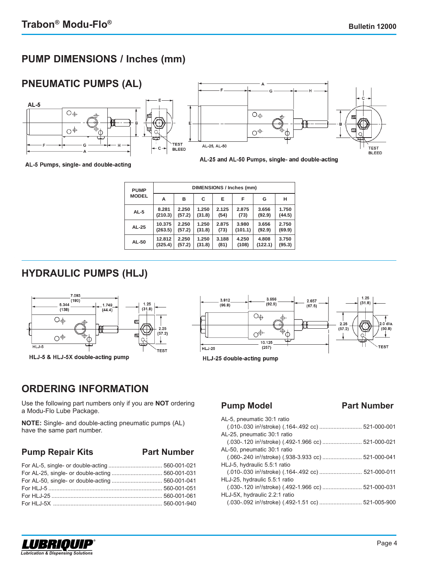## **PUMP DIMENSIONS / Inches (mm)**



AL-5 Pumps, single- and double-acting

| <b>PUMP</b>  | <b>DIMENSIONS / Inches (mm)</b> |        |        |       |         |         |        |
|--------------|---------------------------------|--------|--------|-------|---------|---------|--------|
| <b>MODEL</b> | А                               | в      | С      | Е     | F       | G       | н      |
| $AL-5$       | 8.281                           | 2.250  | 1.250  | 2.125 | 2.875   | 3.656   | 1.750  |
|              | (210.3)                         | (57.2) | (31.8) | (54)  | (73)    | (92.9)  | (44.5) |
| AL-25        | 10.375                          | 2.250  | 1.250  | 2.875 | 3.980   | 3.656   | 2.750  |
|              | (263.5)                         | (57.2) | (31.8) | (73)  | (101.1) | (92.9)  | (69.9) |
| AL-50        | 12.812                          | 2.250  | 1.250  | 3.188 | 4.250   | 4.808   | 3.750  |
|              | (325.4)                         | (57.2) | (31.8) | (81)  | (108)   | (122.1) | (95.3) |

## **HYDRAULIC PUMPS (HLJ)**





## **ORDERING INFORMATION**

Use the following part numbers only if you are **NOT** ordering a Modu-Flo Lube Package.

**NOTE:** Single- and double-acting pneumatic pumps (AL) have the same part number.

#### **Pump Repair Kits Part Number**

#### **Pump Model Part Number**

| AL-5, pneumatic 30:1 ratio    |  |
|-------------------------------|--|
|                               |  |
| AL-25, pneumatic 30:1 ratio   |  |
|                               |  |
| AL-50, pneumatic 30:1 ratio   |  |
|                               |  |
| HLJ-5, hydraulic 5.5:1 ratio  |  |
|                               |  |
| HLJ-25, hydraulic 5.5:1 ratio |  |
|                               |  |
| HLJ-5X, hydraulic 2.2:1 ratio |  |
|                               |  |
|                               |  |

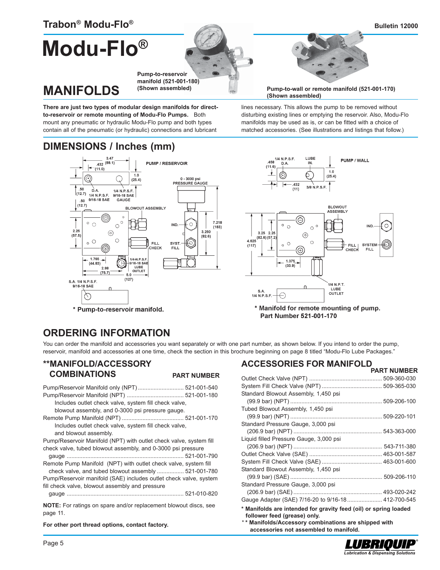**MANIFOLDS**

## **Modu-Flo®**





**Pump-to-wall or remote manifold (521-001-170) (Shown assembled)**

lines necessary. This allows the pump to be removed without disturbing existing lines or emptying the reservoir. Also, Modu-Flo manifolds may be used as is, or can be fitted with a choice of matched accessories. (See illustrations and listings that follow.)

**There are just two types of modular design manifolds for directto-reservoir or remote mounting of Modu-Flo Pumps.** Both mount any pneumatic or hydraulic Modu-Flo pump and both types contain all of the pneumatic (or hydraulic) connections and lubricant

**(Shown assembled)**

## **DIMENSIONS / Inches (mm)**



## **ORDERING INFORMATION**

You can order the manifold and accessories you want separately or with one part number, as shown below. If you intend to order the pump, reservoir, manifold and accessories at one time, check the section in this brochure beginning on page 8 titled "Modu-Flo Lube Packages."

#### **\*\*MANIFOLD/ACCESSORY COMBINATIONS**

**PART NUMBER**

| Includes outlet check valve, system fill check valve,              |
|--------------------------------------------------------------------|
| blowout assembly, and 0-3000 psi pressure gauge.                   |
|                                                                    |
| Includes outlet check valve, system fill check valve,              |
| and blowout assembly.                                              |
| Pump/Reservoir Manifold (NPT) with outlet check valve, system fill |
| check valve, tubed blowout assembly, and 0-3000 psi pressure       |
|                                                                    |
| Remote Pump Manifold (NPT) with outlet check valve, system fill    |
| check valve, and tubed blowout assembly  521-001-780               |
| Pump/Reservoir manifold (SAE) includes outlet check valve, system  |
| fill check valve, blowout assembly and pressure                    |
|                                                                    |
| MOTE: Esquedinan en enero enalísmente compatible un distance es e  |

**NOTE:** For ratings on spare and/or replacement blowout discs, see page 11.

**For other port thread options, contact factory.**

#### **ACCESSORIES FOR MANIFOLD PART NUMBER**

| Standard Blowout Assembly, 1,450 psi                                                                                                                     |  |
|----------------------------------------------------------------------------------------------------------------------------------------------------------|--|
|                                                                                                                                                          |  |
| Tubed Blowout Assembly, 1,450 psi                                                                                                                        |  |
|                                                                                                                                                          |  |
| Standard Pressure Gauge, 3,000 psi                                                                                                                       |  |
|                                                                                                                                                          |  |
| Liquid filled Pressure Gauge, 3,000 psi                                                                                                                  |  |
|                                                                                                                                                          |  |
|                                                                                                                                                          |  |
|                                                                                                                                                          |  |
| Standard Blowout Assembly, 1,450 psi                                                                                                                     |  |
|                                                                                                                                                          |  |
| Standard Pressure Gauge, 3,000 psi                                                                                                                       |  |
|                                                                                                                                                          |  |
| Gauge Adapter (SAE) 7/16-20 to 9/16-18  412-700-545                                                                                                      |  |
| * Manifolds are intended for gravity feed (oil) or spring loaded<br>follower feed (grease) only.<br>** Manifolds/Accessory combinations are shipped with |  |
| accessories not assembled to manifold.                                                                                                                   |  |

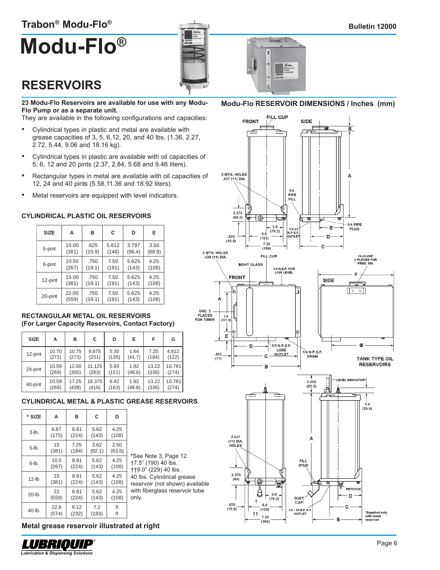## **Trabon® Modu-Flo®**

# **Modu-Flo®**



## **RESERVOIRS**

**23 Modu-Flo Reservoirs are available for use with any Modu-Flo Pump or as a separate unit.**

They are available in the following configurations and capacities:

- Cylindrical types in plastic and metal are available with grease capacities of 3, 5, 6,12, 20, and 40 lbs. (1.36, 2.27, 2.72, 5.44, 9.06 and 18.16 kg).
- Cylindrical types in plastic are available with oil capacities of 5, 6, 12 and 20 pints (2.37, 2.84, 5.68 and 9.46 liters).
- Rectangular types in metal are available with oil capacities of 12, 24 and 40 pints (5.58,11.36 and 18.92 liters).
- Metal reservoirs are equipped with level indicators.

#### **CYLINDRICAL PLASTIC OIL RESERVOIRS**

| <b>SIZE</b> | А     | в      | C     | D      | Е      |
|-------------|-------|--------|-------|--------|--------|
| 5-pint      | 15.00 | .625   | 5.812 | 3.797  | 3.50   |
|             | (381) | (15.9) | (148) | (96.4) | (88.9) |
| 6-pint      | 10.50 | .750   | 7.50  | 5.625  | 4.25   |
|             | (267) | (19.1) | (191) | (143)  | (108)  |
| 12-pint     | 15.00 | .750   | 7.50  | 5.625  | 4.25   |
|             | (381) | (19.1) | (191) | (143)  | (108)  |
| 20-pint     | 22.00 | .750   | 7.50  | 5.625  | 4.25   |
|             | (559) | (19.1) | (191) | (143)  | (108)  |

#### **RECTANGULAR METAL OIL RESERVOIRS (For Larger Capacity Reservoirs, Contact Factory)**

| <b>SIZE</b> | А     | в     | С      | D     | E.     | F     | G      |
|-------------|-------|-------|--------|-------|--------|-------|--------|
| 12-pint     | 10.70 | 10.75 | 9.875  | 5.30  | 1.64   | 7.25  | 4.812  |
|             | (272) | (273) | (251)  | (135) | (41.7) | (184) | (122)  |
| 24-pint     | 10.59 | 12.00 | 11.125 | 5.93  | 1.92   | 13.22 | 10.781 |
|             | (269) | (305) | (283)  | (151) | (48.8) | (336) | (274)  |
| 40-pint     | 10.59 | 17.25 | 16.375 | 6.42  | 1.92   | 13.22 | 10.781 |
|             | (269) | (438) | (416)  | (163) | (48.8) | (336) | (274)  |

#### **CYLINDRICAL METAL & PLASTIC GREASE RESERVOIRS**

| * SIZE    | A             | в             | C              | D              |  |
|-----------|---------------|---------------|----------------|----------------|--|
| $3$ -lb.  | 6.87<br>(175) | 8.81<br>(224) | 5.62<br>(143)  | 4.25<br>(108)  |  |
| $5$ -lb.  | 15<br>(381)   | 7.25<br>(184) | 3.62<br>(92.1) | 2.50<br>(63.5) |  |
| 6-lb.     | 10.5<br>(267) | 8.81<br>(224) | 5.62<br>(143)  | 4.25<br>(108)  |  |
| $12$ -lb. | 15<br>(381)   | 8.81<br>(224) | 5.62<br>(143)  | 4.25<br>(108)  |  |
| 20-lb.    | 22<br>(559)   | 8.81<br>(224) | 5.62<br>(143)  | 4.25<br>(108)  |  |
| 40-lb.    | 22.6<br>(574) | 9.12<br>(232) | 7.2<br>(183)   | ñ<br>ñ         |  |

**\***See Note 3, Page 12. †7.5" (190) 40 lbs. ††9.0" (229) 40 lbs. 40 lbs. Cylindrical grease reservoir (not shown) available with fiberglass reservoir tube only.

#### **Metal grease reservoir illustrated at right**



#### **Modu-Flo RESERVOIR DIMENSIONS / Inches (mm)**

E

MODU-<br>PUMP

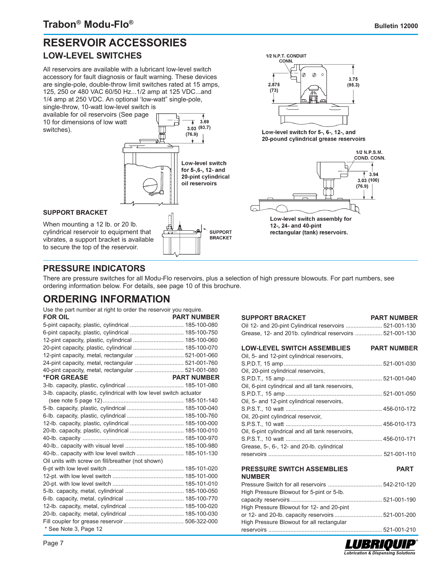## **RESERVOIR ACCESSORIES LOW-LEVEL SWITCHES**

All reservoirs are available with a lubricant low-level switch accessory for fault diagnosis or fault warning. These devices are single-pole, double-throw limit switches rated at 15 amps, 125, 250 or 480 VAC 60/50 Hz...1/2 amp at 125 VDC...and 1/4 amp at 250 VDC. An optional 'low-watt" single-pole, single-throw, 10-watt low-level switch is available for oil reservoirs (See page

10 for dimensions of low watt switches).





Low-level switch for 5-, 6-, 12-, and 20-pound cylindrical grease reservoirs



Low-level switch assembly for 12-, 24- and 40-pint rectangular (tank) reservoirs.

### **PRESSURE INDICATORS**

There are pressure switches for all Modu-Flo reservoirs, plus a selection of high pressure blowouts. For part numbers, see ordering information below. For details, see page 10 of this brochure.

## **ORDERING INFORMATION**

| Use the part number at right to order the reservoir you require.    |                    |
|---------------------------------------------------------------------|--------------------|
| <b>FOR OIL</b>                                                      | <b>PART NUMBER</b> |
|                                                                     |                    |
| 6-pint capacity, plastic, cylindrical  185-100-750                  |                    |
| 12-pint capacity, plastic, cylindrical  185-100-060                 |                    |
| 20-pint capacity, plastic, cylindrical  185-100-070                 |                    |
|                                                                     |                    |
|                                                                     |                    |
|                                                                     |                    |
| <b>*FOR GREASE</b>                                                  | <b>PART NUMBER</b> |
|                                                                     |                    |
| 3-lb. capacity, plastic, cylindrical with low level switch actuator |                    |
|                                                                     |                    |
|                                                                     |                    |
|                                                                     |                    |
| 12-lb. capacity, plastic, cylindrical  185-100-000                  |                    |
| 20-lb. capacity, plastic, cylindrical  185-100-010                  |                    |
|                                                                     |                    |
|                                                                     |                    |
| 40-lb capacity with low level switch  185-101-130                   |                    |
| Oil units with screw on fill/breather (not shown)                   |                    |
|                                                                     |                    |
|                                                                     |                    |
|                                                                     |                    |
|                                                                     |                    |
|                                                                     |                    |
| 12-lb. capacity, metal, cylindrical  185-100-020                    |                    |
|                                                                     |                    |
|                                                                     |                    |
| * See Note 3, Page 12                                               |                    |

| <b>SUPPORT BRACKET</b>                                                                          | <b>PART NUMBER</b> |
|-------------------------------------------------------------------------------------------------|--------------------|
| Oil 12- and 20-pint Cylindrical reservoirs  521-001-130                                         |                    |
| Grease, 12- and 201b. cylindrical reservoirs  521-001-130                                       |                    |
|                                                                                                 |                    |
| LOW-LEVEL SWITCH ASSEMBLIES PART NUMBER                                                         |                    |
| Oil, 5- and 12-pint cylindrical reservoirs,                                                     |                    |
|                                                                                                 |                    |
| Oil, 20-pint cylindrical reservoirs,                                                            |                    |
|                                                                                                 |                    |
| Oil, 6-pint cylindrical and all tank reservoirs,                                                |                    |
|                                                                                                 |                    |
| Oil, 5- and 12-pint cylindrical reservoirs,                                                     |                    |
|                                                                                                 |                    |
| Oil, 20-pint cylindrical reservoir,                                                             |                    |
|                                                                                                 |                    |
| Oil, 6-pint cylindrical and all tank reservoirs,                                                |                    |
|                                                                                                 |                    |
| Grease, 5-, 6-, 12- and 20-lb. cylindrical                                                      |                    |
|                                                                                                 |                    |
| <b>PRESSURE SWITCH ASSEMBLIES</b>                                                               | <b>PART</b>        |
| <b>NUMBER</b>                                                                                   |                    |
|                                                                                                 |                    |
| High Pressure Blowout for 5-pint or 5-lb.                                                       |                    |
|                                                                                                 |                    |
|                                                                                                 |                    |
| High Pressure Blowout for 12- and 20-pint<br>or 12- and 20-lb. capacity reservoirs  521-001-200 |                    |
| High Pressure Blowout for all rectangular                                                       |                    |
|                                                                                                 |                    |
|                                                                                                 |                    |

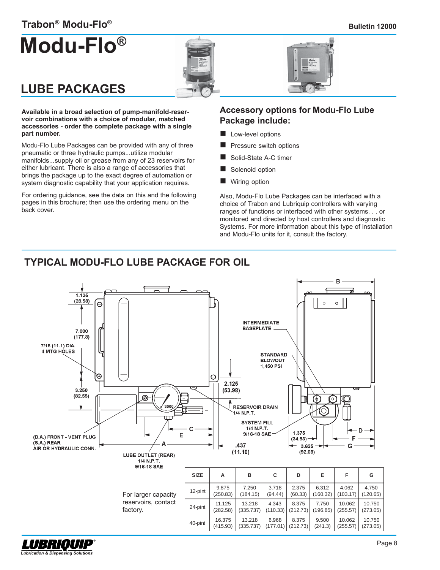#### **Bulletin 12000**

## **Trabon® Modu-Flo®**

# **Modu-Flo®**





## **LUBE PACKAGES**

LUBRIOUIP **Lubrication & Dispensing Solutions** 

**Available in a broad selection of pump-manifold-reservoir combinations with a choice of modular, matched accessories - order the complete package with a single part number.**

Modu-Flo Lube Packages can be provided with any of three pneumatic or three hydraulic pumps...utilize modular manifolds...supply oil or grease from any of 23 reservoirs for either lubricant. There is also a range of accessories that brings the package up to the exact degree of automation or system diagnostic capability that your application requires.

For ordering guidance, see the data on this and the following pages in this brochure; then use the ordering menu on the back cover.

#### **Accessory options for Modu-Flo Lube Package include:**

- **Low-level options**
- Pressure switch options
- Solid-State A-C timer
- Solenoid option
- Wiring option

Also, Modu-Flo Lube Packages can be interfaced with a choice of Trabon and Lubriquip controllers with varying ranges of functions or interfaced with other systems. . . or monitored and directed by host controllers and diagnostic Systems. For more information about this type of installation and Modu-Flo units for it, consult the factory.

## **TYPICAL MODU-FLO LUBE PACKAGE FOR OIL**

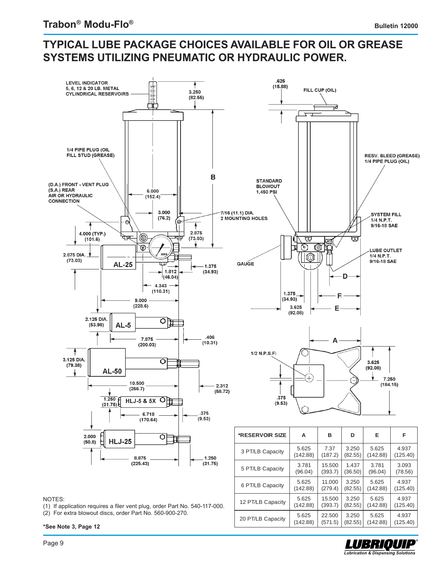## **TYPICAL LUBE PACKAGE CHOICES AVAILABLE FOR OIL OR GREASE SYSTEMS UTILIZING PNEUMATIC OR HYDRAULIC POWER.**



12 PT/LB Capacity

20 PT/LB Capacity

5.625 (142.88)

5.625 (142.88) 15.500 (393.7)

22.500 (571.5)

3.250 (82.55)

3.250 (82.55)

#### NOTES:

(1) If application requires a filer vent plug, order Part No. 540-117-000.

(2) For extra blowout discs, order Part No. 560-900-270.

**\*See Note 3, Page 12**

OUIP **Lubrication & Dispensing Solutions** 

5.625 (142.88)

5.625 (142.88)

4.937 (125.40)

4.937 (125.40)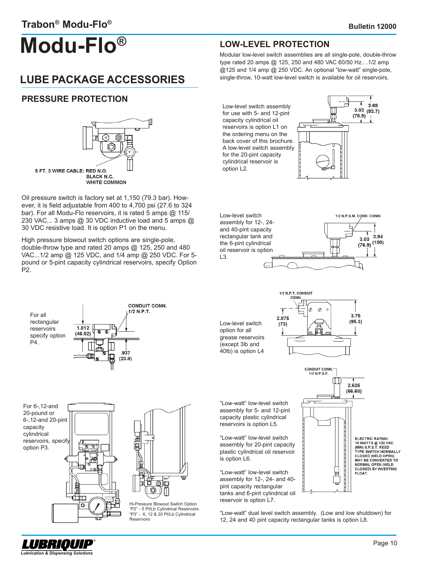## **Modu-Flo®**

## **LUBE PACKAGE ACCESSORIES**

#### **PRESSURE PROTECTION**



Oil pressure switch is factory set at 1,150 (79.3 bar). However, it is field adjustable from 400 to 4,700 psi (27.6 to 324 bar). For all Modu-Flo reservoirs, it is rated 5 amps @ 115/ 230 VAC... 3 amps @ 30 VDC inductive load and 5 amps @ 30 VDC resistive load. It is option P1 on the menu.

High pressure blowout switch options are single-pole, double-throw type and rated 20 amps @ 125, 250 and 480 VAC...1/2 amp @ 125 VDC, and 1/4 amp @ 250 VDC. For 5 pound or 5-pint capacity cylindrical reservoirs, specify Option P2.





Low-level switch assembly for 12-, 24 and 40-pint capacity rectangular tank and the 6-pint cylindrical oil reservoir is option L3.

**LOW-LEVEL PROTECTION**

Modular low-level switch assemblies are all single-pole, double-throw type rated 20 amps @ 125, 250 and 480 VAC 60/50 Hz.. .1/2 amp @125 and 1/4 amp @ 250 VDC. An optional "low-watt" single-pole, single-throw, 10-watt low-level switch is available for oil reservoirs.



For all rectangular reservoirs specify option P4.



For 6-,12-and 20-pound or 6-,12-and 20-pint capacity cylindrical reservoirs, specify option P3.





Hi-Pressure Blowout Switch Option "P2" - 5 Pt/Lb Cylindrical Reservoirs "P3" - 6, 12 & 20 Pt/Lb Cylindrical **Reservoirs** 

Low-level switch option for all grease reservoirs (except 3lb and 40lb) is option L4



"Low-watt" low-level switch assembly for 5- and 12-pint capacity plastic cylindrical reservoirs is option L5.

"Low-watt" low-level switch assembly for 20-pint capacity plastic cylindrical oil reservoir is option L6.

"Low-watt" low-level switch assembly for 12-, 24- and 40 pint capacity rectangular tanks and 6-pint cylindrical oil reservoir is option L7.



"Low-watt" dual level switch assembly. (Low and low shutdown) for 12, 24 and 40 pint capacity rectangular tanks is option L8.

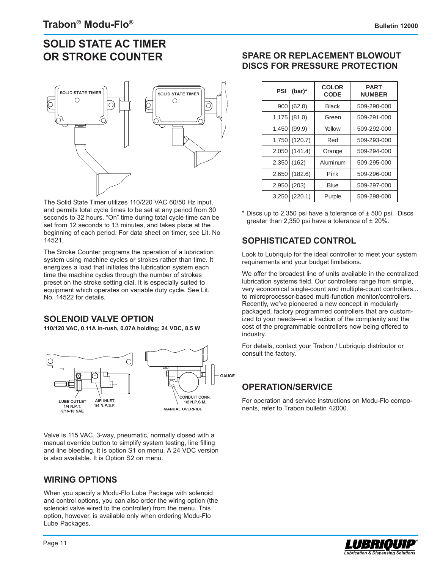## **SOLID STATE AC TIMER OR STROKE COUNTER**



The Solid State Timer utilizes 110/220 VAC 60/50 Hz input, and permits total cycle times to be set at any period from 30 seconds to 32 hours. "On" time during total cycle time can be set from 12 seconds to 13 minutes, and takes place at the beginning of each period. For data sheet on timer, see Lit. No 14521.

The Stroke Counter programs the operation of a lubrication system using machine cycles or strokes rather than time. It energizes a load that initiates the lubrication system each time the machine cycles through the number of strokes preset on the stroke setting dial. It is especially suited to equipment which operates on variable duty cycle. See Lit. No. 14522 for details.

#### **SOLENOID VALVE OPTION**

**110/120 VAC, 0.11A in-rush, 0.07A holding; 24 VDC, 8.5 W**



Valve is 115 VAC, 3-way, pneumatic, normally closed with a manual override button to simplify system testing, line filling and line bleeding. It is option S1 on menu. A 24 VDC version is also available. It is Option S2 on menu.

#### **WIRING OPTIONS**

When you specify a Modu-Flo Lube Package with solenoid and control options, you can also order the wiring option (the solenoid valve wired to the controller) from the menu. This option, however, is available only when ordering Modu-Flo Lube Packages.

#### **SPARE OR REPLACEMENT BLOWOUT DISCS FOR PRESSURE PROTECTION**

| PSI   | (bar)*  | <b>COLOR</b><br><b>CODE</b> | <b>PART</b><br><b>NUMBER</b> |
|-------|---------|-----------------------------|------------------------------|
| 900   | (62.0)  | <b>Black</b>                | 509-290-000                  |
| 1,175 | (81.0)  | Green                       | 509-291-000                  |
| 1,450 | (99.9)  | Yellow                      | 509-292-000                  |
| 1,750 | (120.7) | Red                         | 509-293-000                  |
| 2,050 | (141.4) | Orange                      | 509-294-000                  |
| 2,350 | (162)   | Aluminum                    | 509-295-000                  |
| 2,650 | (182.6) | Pink                        | 509-296-000                  |
| 2,950 | (203)   | <b>Blue</b>                 | 509-297-000                  |
| 3,250 | (220.1) | Purple                      | 509-298-000                  |

 $*$  Discs up to 2,350 psi have a tolerance of  $\pm$  500 psi. Discs greater than 2,350 psi have a tolerance of  $\pm$  20%.

### **SOPHISTICATED CONTROL**

Look to Lubriquip for the ideal controller to meet your system requirements and your budget limitations.

We offer the broadest line of units available in the centralized lubrication systems field. Our controllers range from simple, very economical single-count and multiple-count controllers... to microprocessor-based multi-function monitor/controllers. Recently, we've pioneered a new concept in modularly packaged, factory programmed controllers that are customized to your needs—at a fraction of the complexity and the cost of the programmable controllers now being offered to industry.

For details, contact your Trabon / Lubriquip distributor or consult the factory.

#### **OPERATION/SERVICE**

For operation and service instructions on Modu-Flo components, refer to Trabon bulletin 42000.